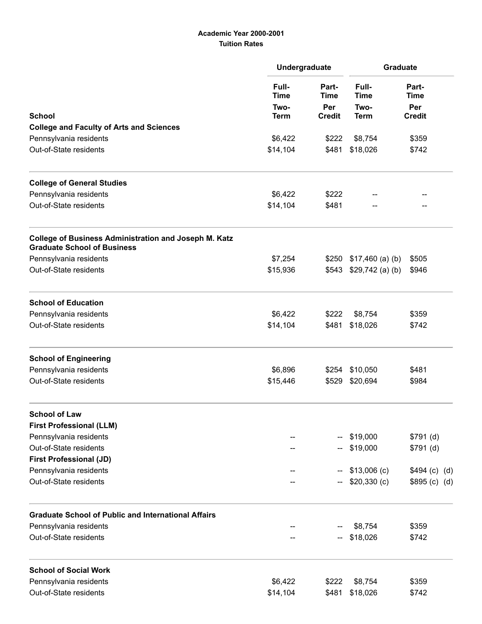## Academic Year 2000-2001 Tuition Rates

|                                                                                                    | Undergraduate                               |                                              | Graduate                                    |                                              |
|----------------------------------------------------------------------------------------------------|---------------------------------------------|----------------------------------------------|---------------------------------------------|----------------------------------------------|
|                                                                                                    | Full-<br><b>Time</b><br>Two-<br><b>Term</b> | Part-<br><b>Time</b><br>Per<br><b>Credit</b> | Full-<br><b>Time</b><br>Two-<br><b>Term</b> | Part-<br><b>Time</b><br>Per<br><b>Credit</b> |
| <b>School</b><br><b>College and Faculty of Arts and Sciences</b>                                   |                                             |                                              |                                             |                                              |
| Pennsylvania residents                                                                             | \$6,422                                     | \$222                                        | \$8,754                                     | \$359                                        |
| Out-of-State residents                                                                             | \$14,104                                    | \$481                                        | \$18,026                                    | \$742                                        |
| <b>College of General Studies</b>                                                                  |                                             |                                              |                                             |                                              |
| Pennsylvania residents                                                                             | \$6,422                                     | \$222                                        |                                             |                                              |
| Out-of-State residents                                                                             | \$14,104                                    | \$481                                        |                                             |                                              |
| <b>College of Business Administration and Joseph M. Katz</b><br><b>Graduate School of Business</b> |                                             |                                              |                                             |                                              |
| Pennsylvania residents                                                                             | \$7,254                                     | \$250                                        | $$17,460$ (a) (b)                           | \$505                                        |
| Out-of-State residents                                                                             | \$15,936                                    | \$543                                        | $$29,742$ (a) (b)                           | \$946                                        |
| <b>School of Education</b>                                                                         |                                             |                                              |                                             |                                              |
| Pennsylvania residents                                                                             | \$6,422                                     | \$222                                        | \$8,754                                     | \$359                                        |
| Out-of-State residents                                                                             | \$14,104                                    | \$481                                        | \$18,026                                    | \$742                                        |
| <b>School of Engineering</b>                                                                       |                                             |                                              |                                             |                                              |
| Pennsylvania residents                                                                             | \$6,896                                     | \$254                                        | \$10,050                                    | \$481                                        |
| Out-of-State residents                                                                             | \$15,446                                    | \$529                                        | \$20,694                                    | \$984                                        |
| <b>School of Law</b>                                                                               |                                             |                                              |                                             |                                              |
| <b>First Professional (LLM)</b>                                                                    |                                             |                                              |                                             |                                              |
| Pennsylvania residents                                                                             |                                             |                                              | \$19,000                                    | \$791(d)                                     |
| Out-of-State residents                                                                             |                                             |                                              | \$19,000                                    | \$791(d)                                     |
| <b>First Professional (JD)</b>                                                                     |                                             |                                              |                                             |                                              |
| Pennsylvania residents<br>Out-of-State residents                                                   |                                             |                                              | $$13,006$ (c)<br>$$20,330$ (c)              | \$494 (c) (d)<br>\$895 (c) (d)               |
|                                                                                                    |                                             |                                              |                                             |                                              |
| <b>Graduate School of Public and International Affairs</b>                                         |                                             |                                              |                                             |                                              |
| Pennsylvania residents                                                                             |                                             |                                              | \$8,754                                     | \$359                                        |
| Out-of-State residents                                                                             |                                             |                                              | \$18,026                                    | \$742                                        |
| <b>School of Social Work</b>                                                                       |                                             |                                              |                                             |                                              |
| Pennsylvania residents                                                                             | \$6,422                                     | \$222                                        | \$8,754                                     | \$359                                        |
| Out-of-State residents                                                                             | \$14,104                                    | \$481                                        | \$18,026                                    | \$742                                        |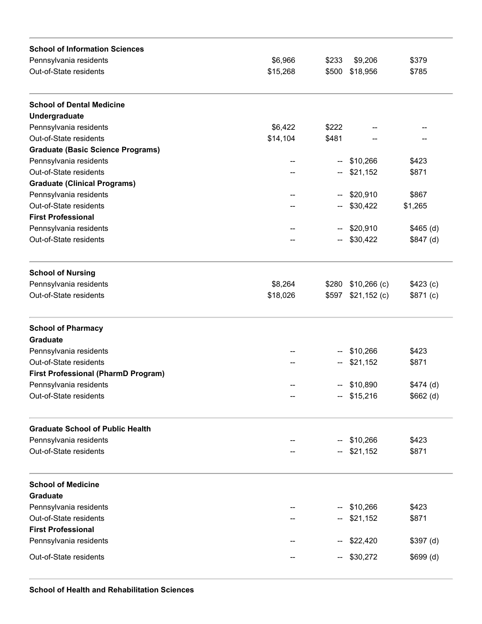| <b>School of Information Sciences</b>      |          |       |               |            |
|--------------------------------------------|----------|-------|---------------|------------|
| Pennsylvania residents                     | \$6,966  | \$233 | \$9,206       | \$379      |
| Out-of-State residents                     | \$15,268 | \$500 | \$18,956      | \$785      |
| <b>School of Dental Medicine</b>           |          |       |               |            |
| Undergraduate                              |          |       |               |            |
| Pennsylvania residents                     | \$6,422  | \$222 |               |            |
| Out-of-State residents                     | \$14,104 | \$481 |               |            |
| <b>Graduate (Basic Science Programs)</b>   |          |       |               |            |
| Pennsylvania residents                     |          | --    | \$10,266      | \$423      |
| Out-of-State residents                     |          |       | \$21,152      | \$871      |
| <b>Graduate (Clinical Programs)</b>        |          |       |               |            |
| Pennsylvania residents                     |          |       | \$20,910      | \$867      |
| Out-of-State residents                     |          |       | \$30,422      | \$1,265    |
| <b>First Professional</b>                  |          |       |               |            |
| Pennsylvania residents                     |          | --    | \$20,910      | $$465$ (d) |
| Out-of-State residents                     |          |       | \$30,422      | \$847(d)   |
|                                            |          |       |               |            |
| <b>School of Nursing</b>                   |          |       |               |            |
| Pennsylvania residents                     | \$8,264  | \$280 | $$10,266$ (c) | \$423(c)   |
| Out-of-State residents                     | \$18,026 | \$597 | $$21,152$ (c) | \$871(c)   |
| <b>School of Pharmacy</b>                  |          |       |               |            |
| <b>Graduate</b>                            |          |       |               |            |
| Pennsylvania residents                     |          | --    | \$10,266      | \$423      |
| Out-of-State residents                     |          | --    | \$21,152      | \$871      |
| <b>First Professional (PharmD Program)</b> |          |       |               |            |
| Pennsylvania residents                     |          | --    | \$10,890      | $$474$ (d) |
| Out-of-State residents                     |          |       | $-$ \$15,216  | $$662$ (d) |
|                                            |          |       |               |            |
| <b>Graduate School of Public Health</b>    |          |       |               |            |
| Pennsylvania residents                     |          |       | \$10,266      | \$423      |
| Out-of-State residents                     |          |       | \$21,152      | \$871      |
| <b>School of Medicine</b>                  |          |       |               |            |
| <b>Graduate</b>                            |          |       |               |            |
| Pennsylvania residents                     |          |       | \$10,266      | \$423      |
| Out-of-State residents                     |          |       | \$21,152      | \$871      |
| <b>First Professional</b>                  |          |       |               |            |
| Pennsylvania residents                     |          |       | \$22,420      | $$397$ (d) |
|                                            |          |       |               |            |
| Out-of-State residents                     |          | --    | \$30,272      | \$699(d)   |
|                                            |          |       |               |            |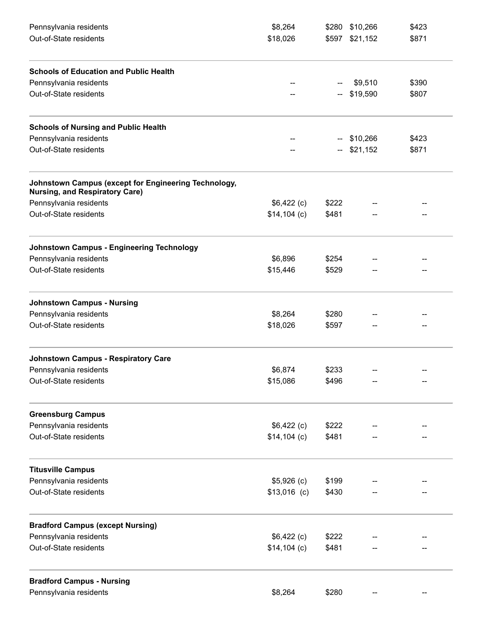| Pennsylvania residents<br>Out-of-State residents                                              | \$8,264       |       | \$280 \$10,266<br>\$597 \$21,152 | \$423 |
|-----------------------------------------------------------------------------------------------|---------------|-------|----------------------------------|-------|
|                                                                                               | \$18,026      |       |                                  | \$871 |
| <b>Schools of Education and Public Health</b>                                                 |               |       |                                  |       |
| Pennsylvania residents                                                                        |               |       | \$9,510                          | \$390 |
| Out-of-State residents                                                                        |               |       | \$19,590                         | \$807 |
| <b>Schools of Nursing and Public Health</b>                                                   |               |       |                                  |       |
| Pennsylvania residents                                                                        |               | --    | \$10,266                         | \$423 |
| Out-of-State residents                                                                        |               | --    | \$21,152                         | \$871 |
| Johnstown Campus (except for Engineering Technology,<br><b>Nursing, and Respiratory Care)</b> |               |       |                                  |       |
| Pennsylvania residents                                                                        | $$6,422$ (c)  | \$222 |                                  |       |
| Out-of-State residents                                                                        | $$14,104$ (c) | \$481 |                                  |       |
| <b>Johnstown Campus - Engineering Technology</b>                                              |               |       |                                  |       |
| Pennsylvania residents                                                                        | \$6,896       | \$254 |                                  |       |
| Out-of-State residents                                                                        | \$15,446      | \$529 |                                  |       |
| <b>Johnstown Campus - Nursing</b>                                                             |               |       |                                  |       |
| Pennsylvania residents                                                                        | \$8,264       | \$280 |                                  |       |
| Out-of-State residents                                                                        | \$18,026      | \$597 |                                  |       |
| <b>Johnstown Campus - Respiratory Care</b>                                                    |               |       |                                  |       |
| Pennsylvania residents                                                                        | \$6,874       | \$233 |                                  |       |
| Out-of-State residents                                                                        | \$15,086      | \$496 |                                  |       |
| <b>Greensburg Campus</b>                                                                      |               |       |                                  |       |
| Pennsylvania residents                                                                        | $$6,422$ (c)  | \$222 |                                  |       |
| Out-of-State residents                                                                        | $$14,104$ (c) | \$481 |                                  |       |
| <b>Titusville Campus</b>                                                                      |               |       |                                  |       |
| Pennsylvania residents                                                                        | $$5,926$ (c)  | \$199 |                                  |       |
| Out-of-State residents                                                                        | $$13,016$ (c) | \$430 |                                  |       |
| <b>Bradford Campus (except Nursing)</b>                                                       |               |       |                                  |       |
| Pennsylvania residents                                                                        | $$6,422$ (c)  | \$222 |                                  |       |
| Out-of-State residents                                                                        | $$14,104$ (c) | \$481 |                                  |       |
| <b>Bradford Campus - Nursing</b>                                                              |               |       |                                  |       |
| Pennsylvania residents                                                                        | \$8,264       | \$280 |                                  |       |